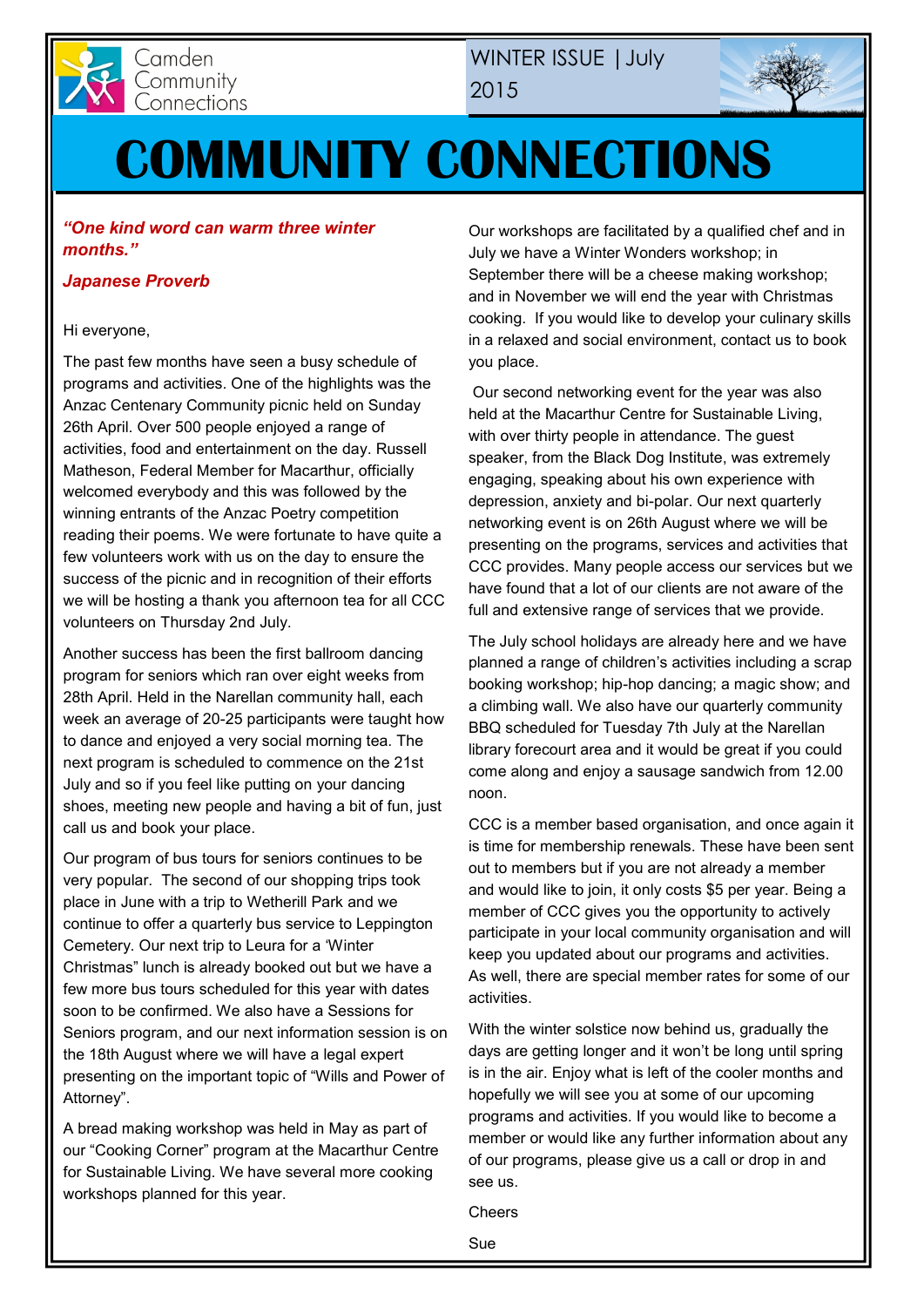

Camden Community<br>Connections



# **COMMUNITY CONNECTIONS**

### *"One kind word can warm three winter months."*

### *Japanese Proverb*

#### Hi everyone,

The past few months have seen a busy schedule of programs and activities. One of the highlights was the Anzac Centenary Community picnic held on Sunday 26th April. Over 500 people enjoyed a range of activities, food and entertainment on the day. Russell Matheson, Federal Member for Macarthur, officially welcomed everybody and this was followed by the winning entrants of the Anzac Poetry competition reading their poems. We were fortunate to have quite a few volunteers work with us on the day to ensure the success of the picnic and in recognition of their efforts we will be hosting a thank you afternoon tea for all CCC volunteers on Thursday 2nd July.

Another success has been the first ballroom dancing program for seniors which ran over eight weeks from 28th April. Held in the Narellan community hall, each week an average of 20-25 participants were taught how to dance and enjoyed a very social morning tea. The next program is scheduled to commence on the 21st July and so if you feel like putting on your dancing shoes, meeting new people and having a bit of fun, just call us and book your place.

Our program of bus tours for seniors continues to be very popular. The second of our shopping trips took place in June with a trip to Wetherill Park and we continue to offer a quarterly bus service to Leppington Cemetery. Our next trip to Leura for a 'Winter Christmas" lunch is already booked out but we have a few more bus tours scheduled for this year with dates soon to be confirmed. We also have a Sessions for Seniors program, and our next information session is on the 18th August where we will have a legal expert presenting on the important topic of "Wills and Power of Attorney".

A bread making workshop was held in May as part of our "Cooking Corner" program at the Macarthur Centre for Sustainable Living. We have several more cooking workshops planned for this year.

Our workshops are facilitated by a qualified chef and in July we have a Winter Wonders workshop; in September there will be a cheese making workshop; and in November we will end the year with Christmas cooking. If you would like to develop your culinary skills in a relaxed and social environment, contact us to book you place.

Our second networking event for the year was also held at the Macarthur Centre for Sustainable Living, with over thirty people in attendance. The quest speaker, from the Black Dog Institute, was extremely engaging, speaking about his own experience with depression, anxiety and bi-polar. Our next quarterly networking event is on 26th August where we will be presenting on the programs, services and activities that CCC provides. Many people access our services but we have found that a lot of our clients are not aware of the full and extensive range of services that we provide.

The July school holidays are already here and we have planned a range of children's activities including a scrap booking workshop; hip-hop dancing; a magic show; and a climbing wall. We also have our quarterly community BBQ scheduled for Tuesday 7th July at the Narellan library forecourt area and it would be great if you could come along and enjoy a sausage sandwich from 12.00 noon.

CCC is a member based organisation, and once again it is time for membership renewals. These have been sent out to members but if you are not already a member and would like to join, it only costs \$5 per year. Being a member of CCC gives you the opportunity to actively participate in your local community organisation and will keep you updated about our programs and activities. As well, there are special member rates for some of our activities.

With the winter solstice now behind us, gradually the days are getting longer and it won't be long until spring is in the air. Enjoy what is left of the cooler months and hopefully we will see you at some of our upcoming programs and activities. If you would like to become a member or would like any further information about any of our programs, please give us a call or drop in and see us.

**Cheers** 

Sue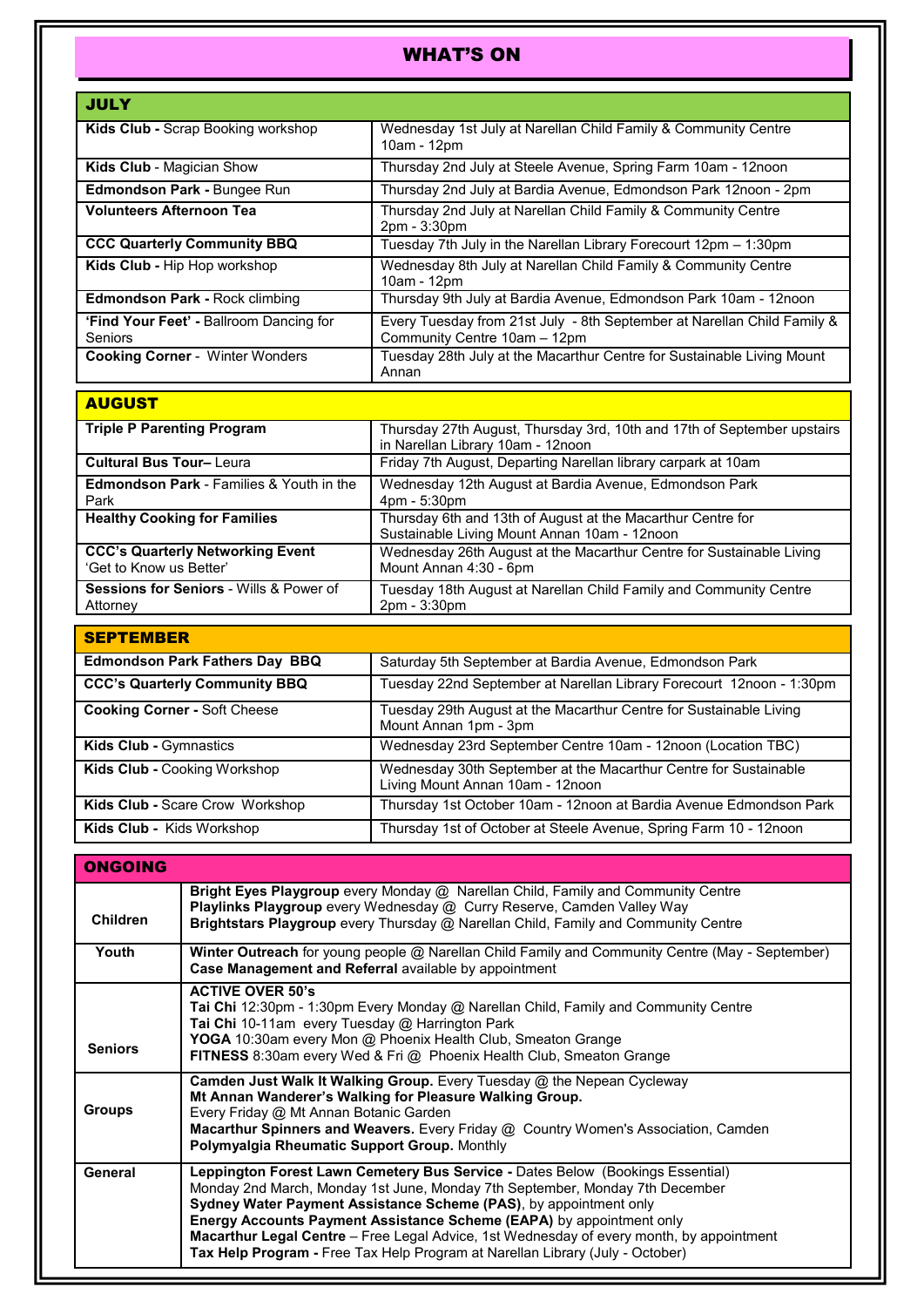# WHAT'S ON

| <b>JULY</b>                                        |                                                                                                         |
|----------------------------------------------------|---------------------------------------------------------------------------------------------------------|
| <b>Kids Club - Scrap Booking workshop</b>          | Wednesday 1st July at Narellan Child Family & Community Centre<br>10am - 12pm                           |
| <b>Kids Club - Magician Show</b>                   | Thursday 2nd July at Steele Avenue, Spring Farm 10am - 12noon                                           |
| <b>Edmondson Park - Bungee Run</b>                 | Thursday 2nd July at Bardia Avenue, Edmondson Park 12noon - 2pm                                         |
| <b>Volunteers Afternoon Tea</b>                    | Thursday 2nd July at Narellan Child Family & Community Centre<br>2pm - 3:30pm                           |
| <b>CCC Quarterly Community BBQ</b>                 | Tuesday 7th July in the Narellan Library Forecourt 12pm - 1:30pm                                        |
| Kids Club - Hip Hop workshop                       | Wednesday 8th July at Narellan Child Family & Community Centre<br>10am - 12pm                           |
| Edmondson Park - Rock climbing                     | Thursday 9th July at Bardia Avenue, Edmondson Park 10am - 12noon                                        |
| 'Find Your Feet' - Ballroom Dancing for<br>Seniors | Every Tuesday from 21st July - 8th September at Narellan Child Family &<br>Community Centre 10am - 12pm |
| <b>Cooking Corner - Winter Wonders</b>             | Tuesday 28th July at the Macarthur Centre for Sustainable Living Mount<br>Annan                         |
| <b>AUGUST</b>                                      |                                                                                                         |

| ________                                                           |                                                                                                              |
|--------------------------------------------------------------------|--------------------------------------------------------------------------------------------------------------|
| <b>Triple P Parenting Program</b>                                  | Thursday 27th August, Thursday 3rd, 10th and 17th of September upstairs<br>in Narellan Library 10am - 12noon |
| <b>Cultural Bus Tour-Leura</b>                                     | Friday 7th August, Departing Narellan library carpark at 10am                                                |
| <b>Edmondson Park - Families &amp; Youth in the</b><br>Park        | Wednesday 12th August at Bardia Avenue, Edmondson Park<br>$4 \text{pm} - 5:30 \text{pm}$                     |
| <b>Healthy Cooking for Families</b>                                | Thursday 6th and 13th of August at the Macarthur Centre for<br>Sustainable Living Mount Annan 10am - 12noon  |
| <b>CCC's Quarterly Networking Event</b><br>'Get to Know us Better' | Wednesday 26th August at the Macarthur Centre for Sustainable Living<br>Mount Annan 4:30 - 6pm               |
| <b>Sessions for Seniors - Wills &amp; Power of</b><br>Attorney     | Tuesday 18th August at Narellan Child Family and Community Centre<br>2pm - 3:30pm                            |

| <b>SEPTEMBER</b>                       |                                                                                                      |
|----------------------------------------|------------------------------------------------------------------------------------------------------|
| <b>Edmondson Park Fathers Day BBQ</b>  | Saturday 5th September at Bardia Avenue, Edmondson Park                                              |
| <b>CCC's Quarterly Community BBQ</b>   | Tuesday 22nd September at Narellan Library Forecourt 12noon - 1:30pm                                 |
| <b>Cooking Corner - Soft Cheese</b>    | Tuesday 29th August at the Macarthur Centre for Sustainable Living<br>Mount Annan 1pm - 3pm          |
| <b>Kids Club - Gymnastics</b>          | Wednesday 23rd September Centre 10am - 12noon (Location TBC)                                         |
| <b>Kids Club - Cooking Workshop</b>    | Wednesday 30th September at the Macarthur Centre for Sustainable<br>Living Mount Annan 10am - 12noon |
| <b>Kids Club - Scare Crow Workshop</b> | Thursday 1st October 10am - 12noon at Bardia Avenue Edmondson Park                                   |
| Kids Club - Kids Workshop              | Thursday 1st of October at Steele Avenue, Spring Farm 10 - 12noon                                    |

| <b>ONGOING</b>  |                                                                                                                                                                                                                                                                                                                                                                                                                                                                                          |
|-----------------|------------------------------------------------------------------------------------------------------------------------------------------------------------------------------------------------------------------------------------------------------------------------------------------------------------------------------------------------------------------------------------------------------------------------------------------------------------------------------------------|
| <b>Children</b> | Bright Eyes Playgroup every Monday @ Narellan Child, Family and Community Centre<br>Playlinks Playgroup every Wednesday @ Curry Reserve, Camden Valley Way<br>Brightstars Playgroup every Thursday @ Narellan Child, Family and Community Centre                                                                                                                                                                                                                                         |
| Youth           | <b>Winter Outreach</b> for young people @ Narellan Child Family and Community Centre (May - September)<br>Case Management and Referral available by appointment                                                                                                                                                                                                                                                                                                                          |
| <b>Seniors</b>  | <b>ACTIVE OVER 50's</b><br><b>Tai Chi</b> 12:30pm - 1:30pm Every Monday @ Narellan Child, Family and Community Centre<br>Tai Chi 10-11am every Tuesday @ Harrington Park<br><b>YOGA</b> 10:30am every Mon @ Phoenix Health Club, Smeaton Grange<br>FITNESS 8:30am every Wed & Fri @ Phoenix Health Club, Smeaton Grange                                                                                                                                                                  |
| <b>Groups</b>   | Camden Just Walk It Walking Group. Every Tuesday @ the Nepean Cycleway<br>Mt Annan Wanderer's Walking for Pleasure Walking Group.<br>Every Friday @ Mt Annan Botanic Garden<br>Macarthur Spinners and Weavers. Every Friday @ Country Women's Association, Camden<br>Polymyalgia Rheumatic Support Group. Monthly                                                                                                                                                                        |
| General         | Leppington Forest Lawn Cemetery Bus Service - Dates Below (Bookings Essential)<br>Monday 2nd March, Monday 1st June, Monday 7th September, Monday 7th December<br>Sydney Water Payment Assistance Scheme (PAS), by appointment only<br>Energy Accounts Payment Assistance Scheme (EAPA) by appointment only<br>Macarthur Legal Centre - Free Legal Advice, 1st Wednesday of every month, by appointment<br>Tax Help Program - Free Tax Help Program at Narellan Library (July - October) |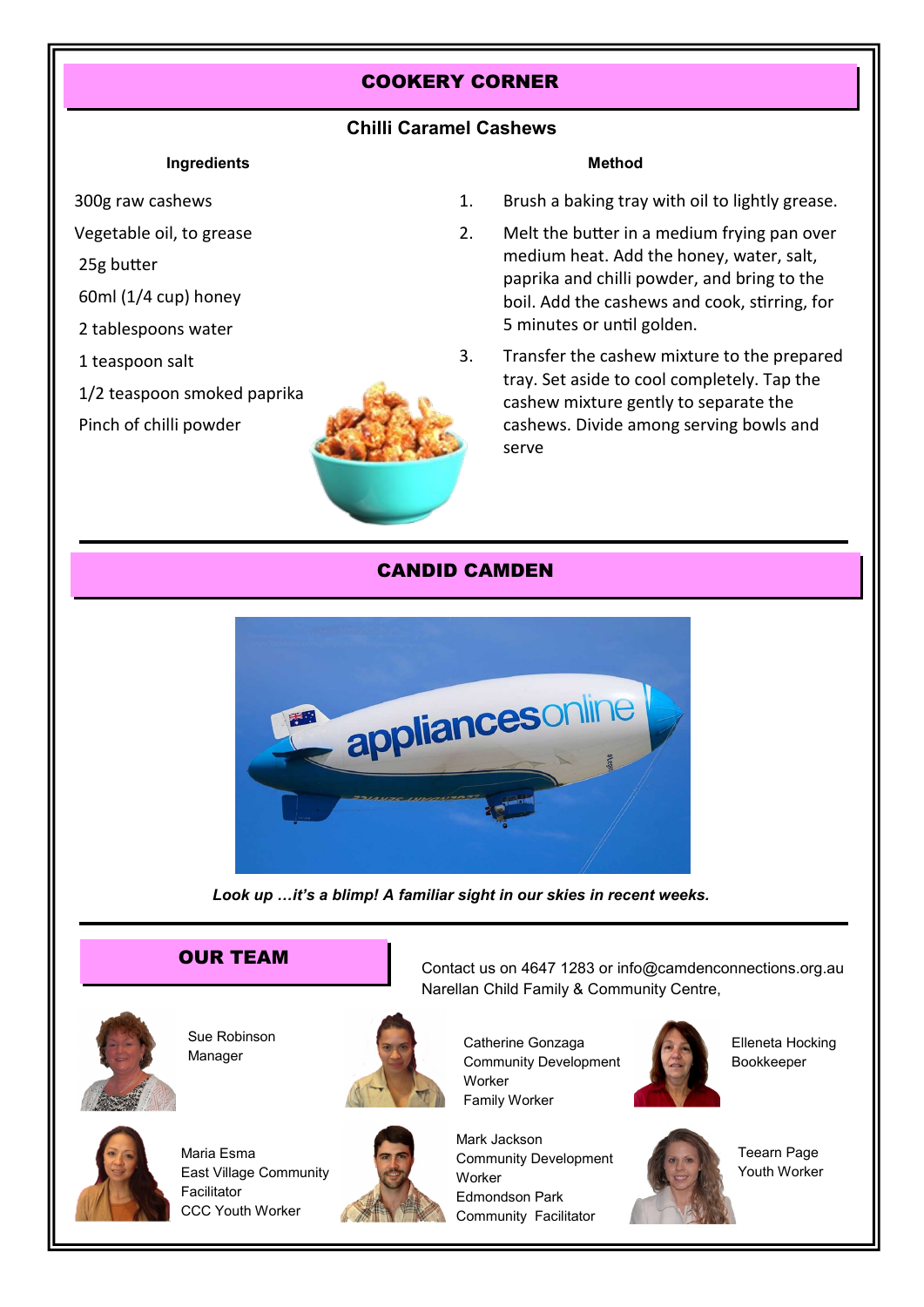## COOKERY CORNER

#### **Chilli Caramel Cashews**

#### **Ingredients**

300g raw cashews

Vegetable oil, to grease

25g butter

60ml (1/4 cup) honey

2 tablespoons water

1 teaspoon salt

1/2 teaspoon smoked paprika

Pinch of chilli powder



#### **Method**

- 1. Brush a baking tray with oil to lightly grease.
- 2. Melt the butter in a medium frying pan over medium heat. Add the honey, water, salt, paprika and chilli powder, and bring to the boil. Add the cashews and cook, stirring, for 5 minutes or until golden.
- 3. Transfer the cashew mixture to the prepared tray. Set aside to cool completely. Tap the cashew mixture gently to separate the cashews. Divide among serving bowls and serve

## CANDID CAMDEN



*Look up …it's a blimp! A familiar sight in our skies in recent weeks.*

ׇ֖֬֕

## OUR TEAM



Sue Robinson Manager





Maria Esma East Village Community Facilitator CCC Youth Worker



Catherine Gonzaga Community Development Worker Family Worker

Narellan Child Family & Community Centre,



Contact us on 4647 1283 or info@camdenconnections.org.au

Mark Jackson Community Development Worker Edmondson Park Community Facilitator